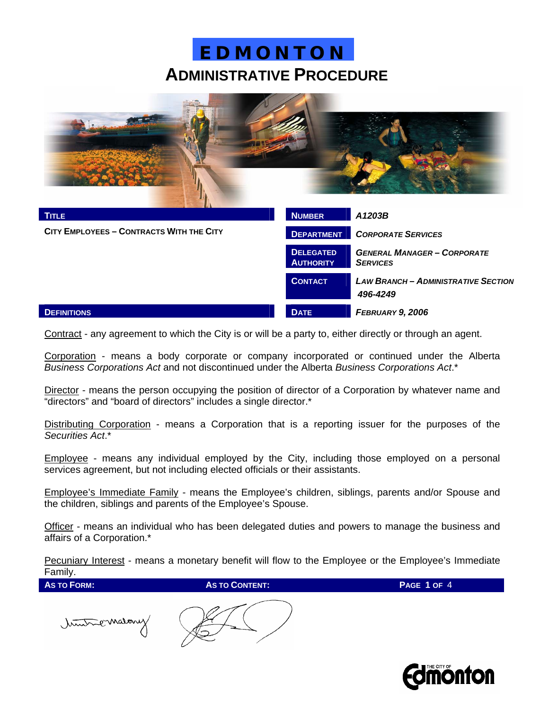

| <b>TITLE</b>                             | <b>NUMBER</b>                        | A1203B                                                 |
|------------------------------------------|--------------------------------------|--------------------------------------------------------|
| CITY EMPLOYEES - CONTRACTS WITH THE CITY | <b>DEPARTMENT</b>                    | <b>CORPORATE SERVICES</b>                              |
|                                          | <b>DELEGATED</b><br><b>AUTHORITY</b> | <b>GENERAL MANAGER - CORPORATE</b><br><b>SERVICES</b>  |
|                                          | <b>CONTACT</b>                       | <b>LAW BRANCH - ADMINISTRATIVE SECTION</b><br>496-4249 |
| <b>DEFINITIONS</b>                       | <b>DATE</b>                          | FEBRUARY 9, 2006                                       |

Contract - any agreement to which the City is or will be a party to, either directly or through an agent.

Corporation - means a body corporate or company incorporated or continued under the Alberta *Business Corporations Act* and not discontinued under the Alberta *Business Corporations Act*.\*

Director - means the person occupying the position of director of a Corporation by whatever name and "directors" and "board of directors" includes a single director.\*

Distributing Corporation - means a Corporation that is a reporting issuer for the purposes of the *Securities Act*.\*

Employee - means any individual employed by the City, including those employed on a personal services agreement, but not including elected officials or their assistants.

Employee's Immediate Family - means the Employee's children, siblings, parents and/or Spouse and the children, siblings and parents of the Employee's Spouse.

Officer - means an individual who has been delegated duties and powers to manage the business and affairs of a Corporation.\*

**Pecuniary Interest** - means a monetary benefit will flow to the Employee or the Employee's Immediate Family.

timens

**AS TO FORM: AS TO CONTENT: PAGE 1 OF** 4

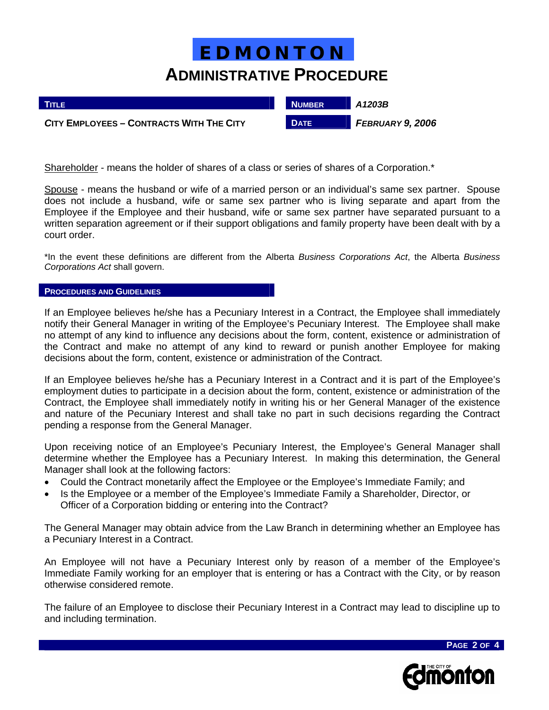| <b>TITLE</b>                             | <b>NUMBER</b> | A1203B           |
|------------------------------------------|---------------|------------------|
| CITY EMPLOYEES - CONTRACTS WITH THE CITY | <b>DATE</b>   | FEBRUARY 9, 2006 |

Shareholder - means the holder of shares of a class or series of shares of a Corporation.\*

Spouse - means the husband or wife of a married person or an individual's same sex partner. Spouse does not include a husband, wife or same sex partner who is living separate and apart from the Employee if the Employee and their husband, wife or same sex partner have separated pursuant to a written separation agreement or if their support obligations and family property have been dealt with by a court order.

\*In the event these definitions are different from the Alberta *Business Corporations Act*, the Alberta *Business Corporations Act* shall govern.

#### **PROCEDURES AND GUIDELINES**

ı

If an Employee believes he/she has a Pecuniary Interest in a Contract, the Employee shall immediately notify their General Manager in writing of the Employee's Pecuniary Interest. The Employee shall make no attempt of any kind to influence any decisions about the form, content, existence or administration of the Contract and make no attempt of any kind to reward or punish another Employee for making decisions about the form, content, existence or administration of the Contract.

If an Employee believes he/she has a Pecuniary Interest in a Contract and it is part of the Employee's employment duties to participate in a decision about the form, content, existence or administration of the Contract, the Employee shall immediately notify in writing his or her General Manager of the existence and nature of the Pecuniary Interest and shall take no part in such decisions regarding the Contract pending a response from the General Manager.

Upon receiving notice of an Employee's Pecuniary Interest, the Employee's General Manager shall determine whether the Employee has a Pecuniary Interest. In making this determination, the General Manager shall look at the following factors:

- Could the Contract monetarily affect the Employee or the Employee's Immediate Family; and
- Is the Employee or a member of the Employee's Immediate Family a Shareholder, Director, or Officer of a Corporation bidding or entering into the Contract?

The General Manager may obtain advice from the Law Branch in determining whether an Employee has a Pecuniary Interest in a Contract.

An Employee will not have a Pecuniary Interest only by reason of a member of the Employee's Immediate Family working for an employer that is entering or has a Contract with the City, or by reason otherwise considered remote.

The failure of an Employee to disclose their Pecuniary Interest in a Contract may lead to discipline up to and including termination.



**PAGE 2 OF 4**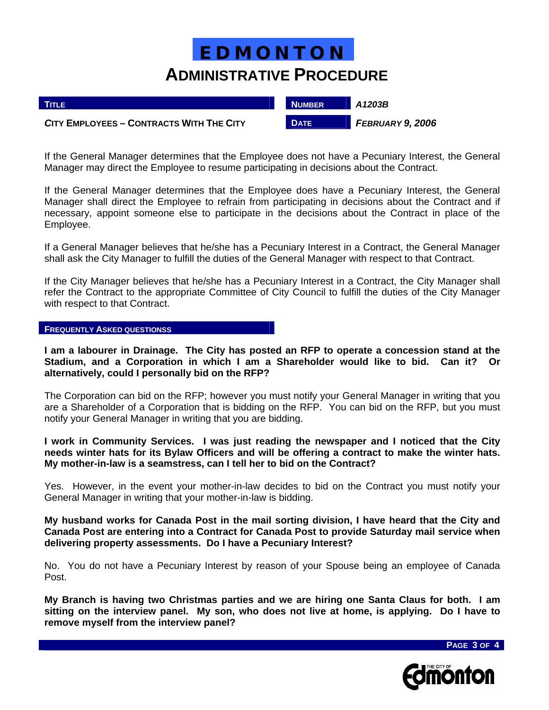| <b>TITLE</b>                             | <b>NUMBER</b> | A1203B           |
|------------------------------------------|---------------|------------------|
| CITY EMPLOYEES - CONTRACTS WITH THE CITY | <b>DATE</b>   | FEBRUARY 9, 2006 |

If the General Manager determines that the Employee does not have a Pecuniary Interest, the General Manager may direct the Employee to resume participating in decisions about the Contract.

If the General Manager determines that the Employee does have a Pecuniary Interest, the General Manager shall direct the Employee to refrain from participating in decisions about the Contract and if necessary, appoint someone else to participate in the decisions about the Contract in place of the Employee.

If a General Manager believes that he/she has a Pecuniary Interest in a Contract, the General Manager shall ask the City Manager to fulfill the duties of the General Manager with respect to that Contract.

If the City Manager believes that he/she has a Pecuniary Interest in a Contract, the City Manager shall refer the Contract to the appropriate Committee of City Council to fulfill the duties of the City Manager with respect to that Contract.

#### **FREQUENTLY ASKED QUESTIONSS**

**I am a labourer in Drainage. The City has posted an RFP to operate a concession stand at the Stadium, and a Corporation in which I am a Shareholder would like to bid. Can it? Or alternatively, could I personally bid on the RFP?** 

The Corporation can bid on the RFP; however you must notify your General Manager in writing that you are a Shareholder of a Corporation that is bidding on the RFP. You can bid on the RFP, but you must notify your General Manager in writing that you are bidding.

**I work in Community Services. I was just reading the newspaper and I noticed that the City needs winter hats for its Bylaw Officers and will be offering a contract to make the winter hats. My mother-in-law is a seamstress, can I tell her to bid on the Contract?** 

Yes. However, in the event your mother-in-law decides to bid on the Contract you must notify your General Manager in writing that your mother-in-law is bidding.

**My husband works for Canada Post in the mail sorting division, I have heard that the City and Canada Post are entering into a Contract for Canada Post to provide Saturday mail service when delivering property assessments. Do I have a Pecuniary Interest?** 

No. You do not have a Pecuniary Interest by reason of your Spouse being an employee of Canada Post.

**My Branch is having two Christmas parties and we are hiring one Santa Claus for both. I am sitting on the interview panel. My son, who does not live at home, is applying. Do I have to remove myself from the interview panel?**